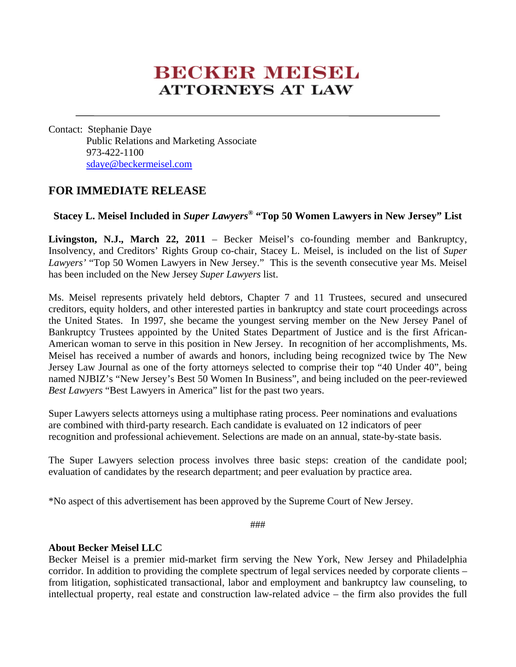## **BECKER MEISEL ATTORNEYS AT LAW**

Contact: Stephanie Daye Public Relations and Marketing Associate 973-422-1100 sdaye@beckermeisel.com

## **FOR IMMEDIATE RELEASE**

## **Stacey L. Meisel Included in** *Super Lawyers***® "Top 50 Women Lawyers in New Jersey" List**

**Livingston, N.J., March 22, 2011** – Becker Meisel's co-founding member and Bankruptcy, Insolvency, and Creditors' Rights Group co-chair, Stacey L. Meisel, is included on the list of *Super Lawyers'* "Top 50 Women Lawyers in New Jersey." This is the seventh consecutive year Ms. Meisel has been included on the New Jersey *Super Lawyers* list.

Ms. Meisel represents privately held debtors, Chapter 7 and 11 Trustees, secured and unsecured creditors, equity holders, and other interested parties in bankruptcy and state court proceedings across the United States. In 1997, she became the youngest serving member on the New Jersey Panel of Bankruptcy Trustees appointed by the United States Department of Justice and is the first African-American woman to serve in this position in New Jersey. In recognition of her accomplishments, Ms. Meisel has received a number of awards and honors, including being recognized twice by The New Jersey Law Journal as one of the forty attorneys selected to comprise their top "40 Under 40", being named NJBIZ's "New Jersey's Best 50 Women In Business", and being included on the peer-reviewed *Best Lawyers* "Best Lawyers in America" list for the past two years.

Super Lawyers selects attorneys using a multiphase rating process. Peer nominations and evaluations are combined with third-party research. Each candidate is evaluated on 12 indicators of peer recognition and professional achievement. Selections are made on an annual, state-by-state basis.

The Super Lawyers selection process involves three basic steps: creation of the candidate pool; evaluation of candidates by the research department; and peer evaluation by practice area.

\*No aspect of this advertisement has been approved by the Supreme Court of New Jersey.

###

## **About Becker Meisel LLC**

Becker Meisel is a premier mid-market firm serving the New York, New Jersey and Philadelphia corridor. In addition to providing the complete spectrum of legal services needed by corporate clients – from litigation, sophisticated transactional, labor and employment and bankruptcy law counseling, to intellectual property, real estate and construction law-related advice – the firm also provides the full